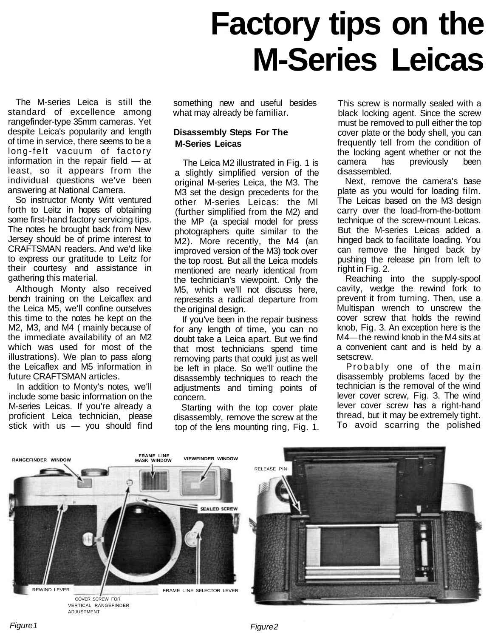# **Factory tips on the M-Series Leicas**

The M-series Leica is still the standard of excellence among rangefinder-type 35mm cameras. Yet despite Leica's popularity and length of time in service, there seems to be a long-felt vacuum of factory information in the repair field — at least, so it appears from the individual questions we've been answering at National Camera.

So instructor Monty Witt ventured forth to Leitz in hopes of obtaining some first-hand factory servicing tips. The notes he brought back from New Jersey should be of prime interest to CRAFTSMAN readers. And we'd like to express our gratitude to Leitz for their courtesy and assistance in gathering this material.

Although Monty also received bench training on the Leicaflex and the Leica M5, we'll confine ourselves this time to the notes he kept on the M2, M3, and M4 ( mainly because of the immediate availability of an M2 which was used for most of the illustrations). We plan to pass along the Leicaflex and M5 information in future CRAFTSMAN articles.

In addition to Monty's notes, we'll include some basic information on the M-series Leicas. If you're already a proficient Leica technician, please stick with us — you should find something new and useful besides what may already be familiar.

## **Disassembly Steps For The M-Series Leicas**

The Leica M2 illustrated in Fig. 1 is a slightly simplified version of the original M-series Leica, the M3. The M3 set the design precedents for the other M-series Leicas: the Ml (further simplified from the M2) and the MP (a special model for press photographers quite similar to the M2). More recently, the M4 (an improved version of the M3) took over the top roost. But all the Leica models mentioned are nearly identical from the technician's viewpoint. Only the M5, which we'll not discuss here, represents a radical departure from the original design.

If you've been in the repair business for any length of time, you can no doubt take a Leica apart. But we find that most technicians spend time removing parts that could just as well be left in place. So we'll outline the disassembly techniques to reach the adjustments and timing points of concern.

Starting with the top cover plate disassembly, remove the screw at the top of the lens mounting ring, Fig. 1.

This screw is normally sealed with a black locking agent. Since the screw must be removed to pull either the top cover plate or the body shell, you can frequently tell from the condition of the locking agent whether or not the camera has previously been disassembled.

Next, remove the camera's base plate as you would for loading film. The Leicas based on the M3 design carry over the load-from-the-bottom technique of the screw-mount Leicas. But the M-series Leicas added a hinged back to facilitate loading. You can remove the hinged back by pushing the release pin from left to right in Fig. 2.

Reaching into the supply-spool cavity, wedge the rewind fork to prevent it from turning. Then, use a Multispan wrench to unscrew the cover screw that holds the rewind knob, Fig. 3. An exception here is the M4—the rewind knob in the M4 sits at a convenient cant and is held by a setscrew.

Probably one of the main disassembly problems faced by the technician is the removal of the wind lever cover screw, Fig. 3. The wind lever cover screw has a right-hand thread, but it may be extremely tight. To avoid scarring the polished



Figure 1 Figure 2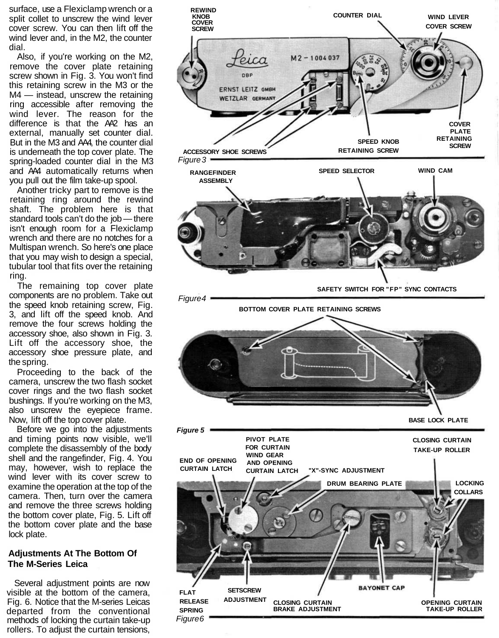surface, use a Flexiclamp wrench or a split collet to unscrew the wind lever cover screw. You can then lift off the wind lever and, in the M2, the counter dial.

Also, if you're working on the M2, remove the cover plate retaining screw shown in Fig. 3. You won't find this retaining screw in the M3 or the M4 — instead, unscrew the retaining ring accessible after removing the wind lever. The reason for the difference is that the AA2 has an external, manually set counter dial. But in the M3 and AA4, the counter dial is underneath the top cover plate. The spring-loaded counter dial in the M3 and AA4 automatically returns when you pull out the film take-up spool.

Another tricky part to remove is the retaining ring around the rewind shaft. The problem here is that standard tools can't do the job — there isn't enough room for a Flexiclamp wrench and there are no notches for a Multispan wrench. So here's one place that you may wish to design a special, tubular tool that fits over the retaining ring.

The remaining top cover plate components are no problem. Take out the speed knob retaining screw, Fig. 3, and lift off the speed knob. And remove the four screws holding the accessory shoe, also shown in Fig. 3. Lift off the accessory shoe, the accessory shoe pressure plate, and the spring.

Proceeding to the back of the camera, unscrew the two flash socket cover rings and the two flash socket bushings. If you're working on the M3, also unscrew the eyepiece frame. Now, lift off the top cover plate.

Before we go into the adjustments and timing points now visible, we'll complete the disassembly of the body shell and the rangefinder, Fig. 4. You may, however, wish to replace the wind lever with its cover screw to examine the operation at the top of the camera. Then, turn over the camera and remove the three screws holding the bottom cover plate, Fig. 5. Lift off the bottom cover plate and the base lock plate.

### **Adjustments At The Bottom Of The M-Series Leica**

Several adjustment points are now visible at the bottom of the camera, Fig. 6. Notice that the M-series Leicas departed from the conventional methods of locking the curtain take-up rollers. To adjust the curtain tensions,

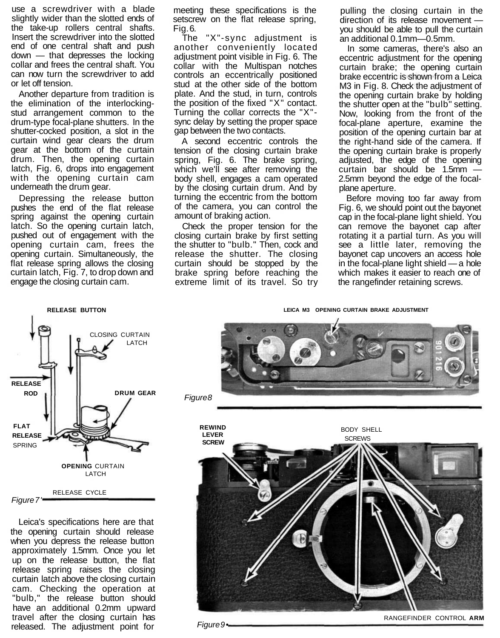use a screwdriver with a blade slightly wider than the slotted ends of the take-up rollers central shafts. Insert the screwdriver into the slotted end of one central shaft and push down — that depresses the locking collar and frees the central shaft. You can now turn the screwdriver to add or let off tension.

Another departure from tradition is the elimination of the interlockingstud arrangement common to the drum-type focal-plane shutters. In the shutter-cocked position, a slot in the curtain wind gear clears the drum gear at the bottom of the curtain drum. Then, the opening curtain latch, Fig. 6, drops into engagement with the opening curtain cam underneath the drum gear.

Depressing the release button pushes the end of the flat release spring against the opening curtain latch. So the opening curtain latch, pushed out of engagement with the opening curtain cam, frees the opening curtain. Simultaneously, the flat release spring allows the closing curtain latch, Fig. 7, to drop down and engage the closing curtain cam.

cam. Checking the operation at "bulb," the release button should have an additional 0.2mm upward travel after the closing curtain has released. The adjustment point for

meeting these specifications is the setscrew on the flat release spring. Fig. 6.

The "X"-sync adjustment is another conveniently located adjustment point visible in Fig. 6. The collar with the Multispan notches controls an eccentrically positioned stud at the other side of the bottom plate. And the stud, in turn, controls the position of the fixed "X" contact. Turning the collar corrects the "X" sync delay by setting the proper space gap between the two contacts.

A second eccentric controls the tension of the closing curtain brake spring, Fig. 6. The brake spring, which we'll see after removing the body shell, engages a cam operated by the closing curtain drum. And by turning the eccentric from the bottom of the camera, you can control the amount of braking action.

Check the proper tension for the closing curtain brake by first setting the shutter to "bulb." Then, cock and release the shutter. The closing curtain should be stopped by the brake spring before reaching the extreme limit of its travel. So try

pulling the closing curtain in the direction of its release movement you should be able to pull the curtain an additional 0.1mm—0.5mm.

In some cameras, there's also an eccentric adjustment for the opening curtain brake; the opening curtain brake eccentric is shown from a Leica M3 in Fig. 8. Check the adjustment of the opening curtain brake by holding the shutter open at the "bulb" setting. Now, looking from the front of the focal-plane aperture, examine the position of the opening curtain bar at the right-hand side of the camera. If the opening curtain brake is properly adjusted, the edge of the opening curtain bar should be 1.5mm — 2.5mm beyond the edge of the focalplane aperture.

Before moving too far away from Fig. 6, we should point out the bayonet cap in the focal-plane light shield. You can remove the bayonet cap after rotating it a partial turn. As you will see a little later, removing the bayonet cap uncovers an access hole in the focal-plane light shield — a hole which makes it easier to reach one of the rangefinder retaining screws.

**RELEASE BUTTON LEICA M3 OPENING CURTAIN BRAKE ADJUSTMENT**



RANGEFINDER CONTROL **ARM**

Figure 9 •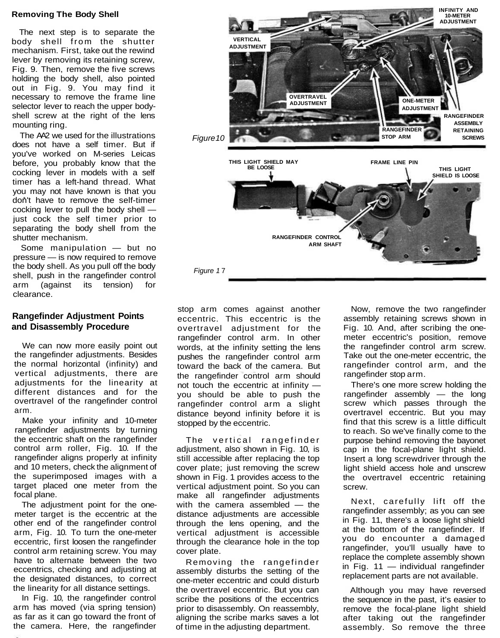#### **Removing The Body Shell**

The next step is to separate the body shell from the shutter mechanism. First, take out the rewind lever by removing its retaining screw, Fig. 9. Then, remove the five screws holding the body shell, also pointed out in Fig. 9. You may find it necessary to remove the frame line selector lever to reach the upper bodyshell screw at the right of the lens mounting ring.

The AA2 we used for the illustrations does not have a self timer. But if you've worked on M-series Leicas before, you probably know that the cocking lever in models with a self timer has a left-hand thread. What you may not have known is that you don't have to remove the self-timer cocking lever to pull the body shell just cock the self timer prior to separating the body shell from the shutter mechanism.

Some manipulation — but no pressure — is now required to remove the body shell. As you pull off the body shell, push in the rangefinder control arm (against its tension) for clearance.

### **Rangefinder Adjustment Points and Disassembly Procedure**

We can now more easily point out the rangefinder adjustments. Besides the normal horizontal (infinity) and vertical adjustments, there are adiustments for the linearity at different distances and for the overtravel of the rangefinder control arm.

Make your infinity and 10-meter rangefinder adjustments by turning the eccentric shaft on the rangefinder control arm roller, Fig. 10. If the rangefinder aligns properly at infinity and 10 meters, check the alignment of the superimposed images with a target placed one meter from the focal plane.

The adjustment point for the onemeter target is the eccentric at the other end of the rangefinder control arm, Fig. 10. To turn the one-meter eccentric, first loosen the rangefinder control arm retaining screw. You may have to alternate between the two eccentrics, checking and adjusting at the designated distances, to correct the linearity for all distance settings.

In Fig. 10, the rangefinder control arm has moved (via spring tension) as far as it can go toward the front of the camera. Here, the rangefinder



stop arm comes against another eccentric. This eccentric is the overtravel adjustment for the rangefinder control arm. In other words, at the infinity setting the lens pushes the rangefinder control arm toward the back of the camera. But the rangefinder control arm should not touch the eccentric at infinity you should be able to push the rangefinder control arm a slight distance beyond infinity before it is stopped by the eccentric.

The vertical rangefinder adjustment, also shown in Fig. 10, is still accessible after replacing the top cover plate; just removing the screw shown in Fig. 1 provides access to the vertical adjustment point. So you can make all rangefinder adjustments with the camera assembled — the distance adjustments are accessible through the lens opening, and the vertical adjustment is accessible through the clearance hole in the top cover plate.

Removing the rangefinder assembly disturbs the setting of the one-meter eccentric and could disturb the overtravel eccentric. But you can scribe the positions of the eccentrics prior to disassembly. On reassembly, aligning the scribe marks saves a lot of time in the adjusting department.

Now, remove the two rangefinder assembly retaining screws shown in Fig. 10. And, after scribing the onemeter eccentric's position, remove the rangefinder control arm screw. Take out the one-meter eccentric, the rangefinder control arm, and the rangefinder stop arm.

There's one more screw holding the rangefinder assembly — the long screw which passes through the overtravel eccentric. But you may find that this screw is a little difficult to reach. So we've finally come to the purpose behind removing the bayonet cap in the focal-plane light shield. Insert a long screwdriver through the light shield access hole and unscrew the overtravel eccentric retaining screw.

Next, carefully lift off the rangefinder assembly; as you can see in Fig. 11, there's a loose light shield at the bottom of the rangefinder. If you do encounter a damaged rangefinder, you'll usually have to replace the complete assembly shown in Fig. 11 — individual rangefinder replacement parts are not available.

Although you may have reversed the sequence in the past, it's easier to remove the focal-plane light shield after taking out the rangefinder assembly. So remove the three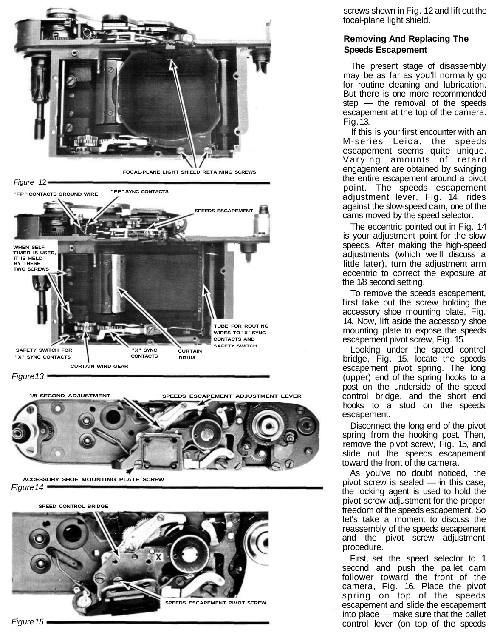

**1/8 SECOND ADJUSTMENT SPEEDS ESCAPEMENT ADJUSTMENT LEVER**

**ACCESSORY SHOE MOUNTING PLATE SCREW** Figure 14

**SPEED CONTROL BRIDGE**



screws shown in Fig. 12 and lift out the focal-plane light shield.

## **Removing And Replacing The Speeds Escapement**

The present stage of disassembly may be as far as you'll normally go for routine cleaning and lubrication. But there is one more recommended step — the removal of the speeds escapement at the top of the camera. Fig. 13.

If this is your first encounter with an M-series Leica, the speeds escapement seems quite unique. Varying amounts of retard engagement are obtained by swinging the entire escapement around a pivot point. The speeds escapement adjustment lever, Fig. 14, rides against the slow-speed cam, one of the cams moved by the speed selector.

The eccentric pointed out in Fig. 14 is your adjustment point for the slow speeds. After making the high-speed adjustments (which we'll discuss a little later), turn the adjustment arm eccentric to correct the exposure at the 1/8 second setting.

To remove the speeds escapement, first take out the screw holding the accessory shoe mounting plate, Fig. 14. Now, lift aside the accessory shoe mounting plate to expose the speeds escapement pivot screw, Fig. 15.

Looking under the speed control bridge, Fig. 15, locate the speeds escapement pivot spring. The long (upper) end of the spring hooks to a post on the underside of the speed control bridge, and the short end hooks to a stud on the speeds escapement.

Disconnect the long end of the pivot spring from the hooking post. Then, remove the pivot screw, Fig. 15, and slide out the speeds escapement toward the front of the camera.

As you've no doubt noticed, the pivot screw is sealed — in this case, the locking agent is used to hold the pivot screw adjustment for the proper freedom of the speeds escapement. So let's take a moment to discuss the reassembly of the speeds escapement and the pivot screw adjustment procedure.

First, set the speed selector to 1 second and push the pallet cam follower toward the front of the camera, Fig. 16. Place the pivot spring on top of the speeds escapement and slide the escapement into place —make sure that the pallet control lever (on top of the speeds

Figure  $15$   $\blacksquare$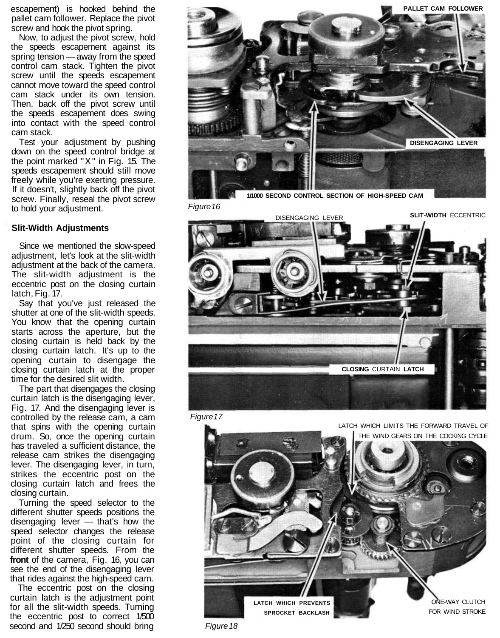escapement) is hooked behind the pallet cam follower. Replace the pivot screw and hook the pivot spring.

Now, to adjust the pivot screw, hold the speeds escapement against its spring tension — away from the speed control cam stack. Tighten the pivot screw until the speeds escapement cannot move toward the speed control cam stack under its own tension. Then, back off the pivot screw until the speeds escapement does swing into contact with the speed control cam stack.

Test your adjustment by pushing down on the speed control bridge at the point marked "X" in Fig. 15. The speeds escapement should still move freely while you're exerting pressure. If it doesn't, slightly back off the pivot screw. Finally, reseal the pivot screw to hold your adjustment.

### **Slit-Width Adjustments**

Since we mentioned the slow-speed adjustment, let's look at the slit-width adjustment at the back of the camera. The slit-width adjustment is the eccentric post on the closing curtain latch, Fig. 17.

Say that you've just released the shutter at one of the slit-width speeds. You know that the opening curtain starts across the aperture, but the closing curtain is held back by the closing curtain latch. It's up to the opening curtain to disengage the closing curtain latch at the proper time for the desired slit width.

The part that disengages the closing curtain latch is the disengaging lever, Fig. 17. And the disengaging lever is controlled by the release cam, a cam that spins with the opening curtain drum. So, once the opening curtain has traveled a sufficient distance, the release cam strikes the disengaging lever. The disengaging lever, in turn, strikes the eccentric post on the closing curtain latch and frees the closing curtain.

Turning the speed selector to the different shutter speeds positions the disengaging lever — that's how the speed selector changes the release point of the closing curtain for different shutter speeds. From the **front** of the camera, Fig. 16, you can see the end of the disengaging lever that rides against the high-speed cam.

The eccentric post on the closing curtain latch is the adjustment point for all the slit-width speeds. Turning the eccentric post to correct 1/500 second and 1/250 second should bring



Figure 16



Figure 17



Figure 18